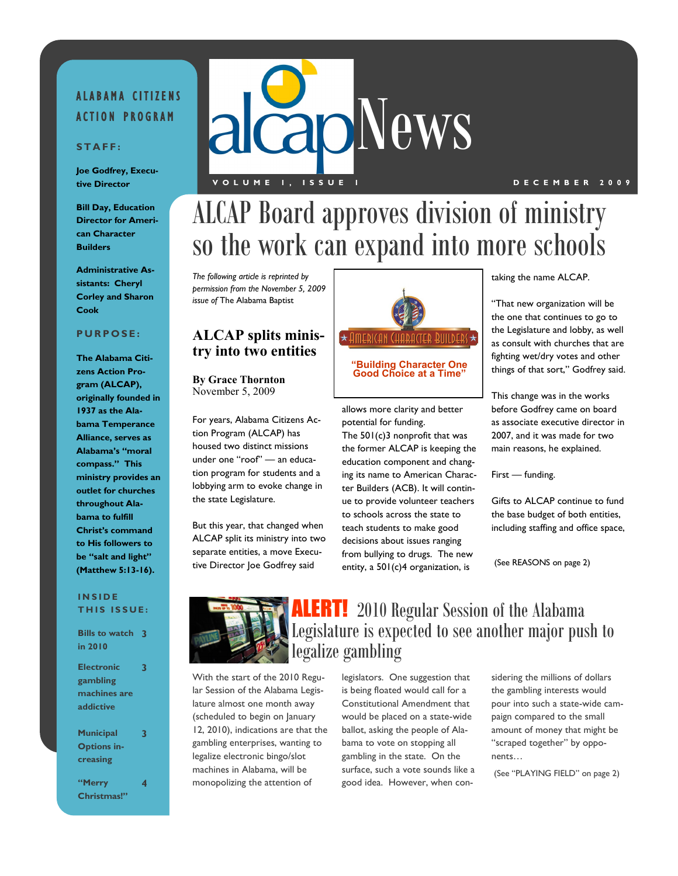### ALABAMA CITIZENS **ACTION PROGRAM**

### **S T A F F :**

**Joe Godfrey, Executive Director**

**Bill Day, Education Director for American Character Builders**

**Administrative Assistants: Cheryl Corley and Sharon Cook**

### **P U R P O S E :**

**The Alabama Citizens Action Program (ALCAP), originally founded in 1937 as the Alabama Temperance Alliance, serves as Alabama's "moral compass." This ministry provides an outlet for churches throughout Alabama to fulfill Christ's command to His followers to be "salt and light" (Matthew 5:13-16).**

### **I N S I D E THIS ISSUE:**

| <b>Bills to watch 3</b> |   |
|-------------------------|---|
| in 2010                 |   |
|                         |   |
| <b>Electronic</b>       | 3 |
| gambling                |   |
| machines are            |   |
| addictive               |   |
|                         |   |
| <b>Municipal</b>        | 3 |
| <b>Options in-</b>      |   |
| creasing                |   |
|                         |   |
| "Merry                  | 4 |
| Christmas!"             |   |



### **V O L U M E 1 , I S S U E 1 D E C E M B E R 2 0 0 9**

## ALCAP Board approves division of ministry so the work can expand into more schools

*The following article is reprinted by permission from the November 5, 2009 issue of* The Alabama Baptist

### **ALCAP splits ministry into two entities**

**By Grace Thornton** November 5, 2009

For years, Alabama Citizens Action Program (ALCAP) has housed two distinct missions under one "roof" — an education program for students and a lobbying arm to evoke change in the state Legislature.

But this year, that changed when ALCAP split its ministry into two separate entities, a move Executive Director Joe Godfrey said



allows more clarity and better potential for funding.

The 501(c)3 nonprofit that was the former ALCAP is keeping the education component and changing its name to American Character Builders (ACB). It will continue to provide volunteer teachers to schools across the state to teach students to make good decisions about issues ranging from bullying to drugs. The new entity, a 501(c)4 organization, is

taking the name ALCAP.

"That new organization will be the one that continues to go to the Legislature and lobby, as well as consult with churches that are fighting wet/dry votes and other things of that sort," Godfrey said.

This change was in the works before Godfrey came on board as associate executive director in 2007, and it was made for two main reasons, he explained.

First — funding.

Gifts to ALCAP continue to fund the base budget of both entities, including staffing and office space,

(See REASONS on page 2)



### **ALERT!** 2010 Regular Session of the Alabama Legislature is expected to see another major push to legalize gambling

With the start of the 2010 Regular Session of the Alabama Legislature almost one month away (scheduled to begin on January 12, 2010), indications are that the gambling enterprises, wanting to legalize electronic bingo/slot machines in Alabama, will be monopolizing the attention of

legislators. One suggestion that is being floated would call for a Constitutional Amendment that would be placed on a state-wide ballot, asking the people of Alabama to vote on stopping all gambling in the state. On the surface, such a vote sounds like a good idea. However, when considering the millions of dollars the gambling interests would pour into such a state-wide campaign compared to the small amount of money that might be "scraped together" by opponents…

(See "PLAYING FIELD" on page 2)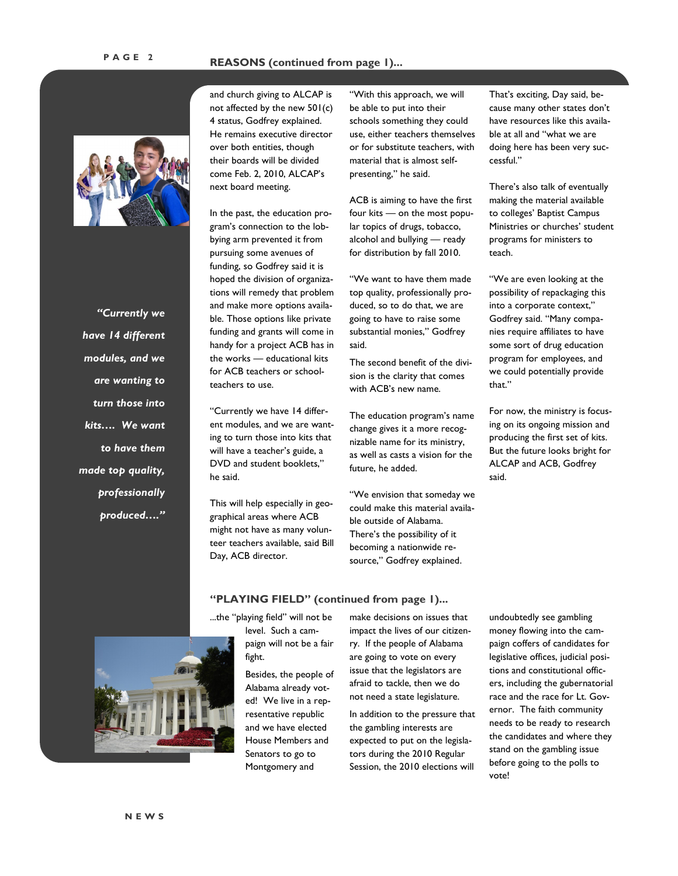

*"Currently we have 14 different modules, and we are wanting to turn those into kits…. We want to have them made top quality, professionally produced…."* and church giving to ALCAP is not affected by the new 501(c) 4 status, Godfrey explained. He remains executive director over both entities, though their boards will be divided come Feb. 2, 2010, ALCAP's next board meeting.

In the past, the education program's connection to the lobbying arm prevented it from pursuing some avenues of funding, so Godfrey said it is hoped the division of organizations will remedy that problem and make more options available. Those options like private funding and grants will come in handy for a project ACB has in the works — educational kits for ACB teachers or schoolteachers to use.

"Currently we have 14 different modules, and we are wanting to turn those into kits that will have a teacher's guide, a DVD and student booklets," he said.

This will help especially in geographical areas where ACB might not have as many volunteer teachers available, said Bill Day, ACB director.

"With this approach, we will be able to put into their schools something they could use, either teachers themselves or for substitute teachers, with material that is almost selfpresenting," he said.

ACB is aiming to have the first four kits — on the most popular topics of drugs, tobacco, alcohol and bullying — ready for distribution by fall 2010.

"We want to have them made top quality, professionally produced, so to do that, we are going to have to raise some substantial monies," Godfrey said.

The second benefit of the division is the clarity that comes with ACB's new name.

The education program's name change gives it a more recognizable name for its ministry, as well as casts a vision for the future, he added.

"We envision that someday we could make this material available outside of Alabama. There's the possibility of it becoming a nationwide resource," Godfrey explained.

That's exciting, Day said, because many other states don't have resources like this available at all and "what we are doing here has been very successful."

There's also talk of eventually making the material available to colleges' Baptist Campus Ministries or churches' student programs for ministers to teach.

"We are even looking at the possibility of repackaging this into a corporate context," Godfrey said. "Many companies require affiliates to have some sort of drug education program for employees, and we could potentially provide that."

For now, the ministry is focusing on its ongoing mission and producing the first set of kits. But the future looks bright for ALCAP and ACB, Godfrey said.



...the "playing field" will not be level. Such a campaign will not be a fair fight.

**"PLAYING FIELD" (continued from page 1)...**

Besides, the people of Alabama already voted! We live in a representative republic and we have elected House Members and Senators to go to Montgomery and

make decisions on issues that impact the lives of our citizenry. If the people of Alabama are going to vote on every issue that the legislators are afraid to tackle, then we do not need a state legislature.

In addition to the pressure that the gambling interests are expected to put on the legislators during the 2010 Regular Session, the 2010 elections will

undoubtedly see gambling money flowing into the campaign coffers of candidates for legislative offices, judicial positions and constitutional officers, including the gubernatorial race and the race for Lt. Governor. The faith community needs to be ready to research the candidates and where they stand on the gambling issue before going to the polls to vote!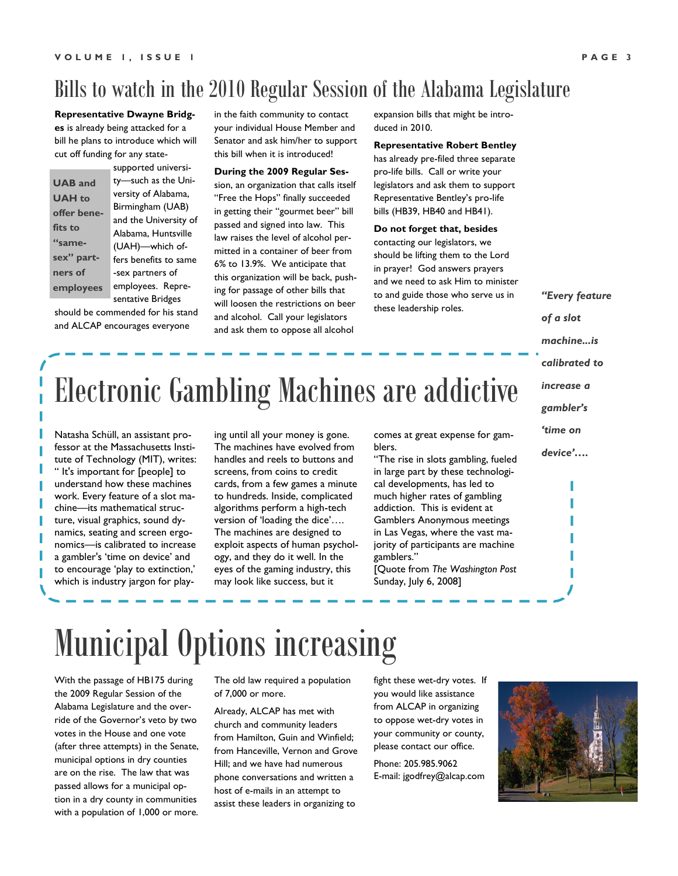## Bills to watch in the 2010 Regular Session of the Alabama Legislature

**Representative Dwayne Bridges** is already being attacked for a bill he plans to introduce which will cut off funding for any state-

**UAB and UAH to offer benefits to "samesex" partners of employees** supported university—such as the University of Alabama, Birmingham (UAB) and the University of Alabama, Huntsville (UAH)—which offers benefits to same -sex partners of employees. Representative Bridges

should be commended for his stand and ALCAP encourages everyone

in the faith community to contact your individual House Member and Senator and ask him/her to support this bill when it is introduced!

### **During the 2009 Regular Ses-**

sion, an organization that calls itself "Free the Hops" finally succeeded in getting their "gourmet beer" bill passed and signed into law. This law raises the level of alcohol permitted in a container of beer from 6% to 13.9%. We anticipate that this organization will be back, pushing for passage of other bills that will loosen the restrictions on beer and alcohol. Call your legislators and ask them to oppose all alcohol

expansion bills that might be introduced in 2010.

#### **Representative Robert Bentley**

has already pre-filed three separate pro-life bills. Call or write your legislators and ask them to support Representative Bentley's pro-life bills (HB39, HB40 and HB41).

### **Do not forget that, besides**

contacting our legislators, we should be lifting them to the Lord in prayer! God answers prayers and we need to ask Him to minister to and guide those who serve us in these leadership roles.

*"Every feature* 

*of a slot* 

*machine...is* 

- *calibrated to*
- *increase a*

*gambler's* 

*'time on* 

*device'….*

Natasha Schüll, an assistant professor at the Massachusetts Institute of Technology (MIT), writes: " It's important for [people] to understand how these machines work. Every feature of a slot machine—its mathematical structure, visual graphics, sound dynamics, seating and screen ergonomics—is calibrated to increase a gambler's 'time on device' and to encourage 'play to extinction,' which is industry jargon for playing until all your money is gone. The machines have evolved from handles and reels to buttons and screens, from coins to credit cards, from a few games a minute to hundreds. Inside, complicated algorithms perform a high-tech version of 'loading the dice'…. The machines are designed to exploit aspects of human psychology, and they do it well. In the eyes of the gaming industry, this may look like success, but it

comes at great expense for gamblers.

"The rise in slots gambling, fueled in large part by these technological developments, has led to much higher rates of gambling addiction. This is evident at Gamblers Anonymous meetings in Las Vegas, where the vast majority of participants are machine gamblers." [Quote from *The Washington Post* Sunday, July 6, 2008]

# Municipal Options increasing

With the passage of HB175 during the 2009 Regular Session of the Alabama Legislature and the override of the Governor's veto by two votes in the House and one vote (after three attempts) in the Senate, municipal options in dry counties are on the rise. The law that was passed allows for a municipal option in a dry county in communities with a population of 1,000 or more.

The old law required a population of 7,000 or more.

Already, ALCAP has met with church and community leaders from Hamilton, Guin and Winfield; from Hanceville, Vernon and Grove Hill; and we have had numerous phone conversations and written a host of e-mails in an attempt to assist these leaders in organizing to

fight these wet-dry votes. If you would like assistance from ALCAP in organizing to oppose wet-dry votes in your community or county, please contact our office.

Phone: 205.985.9062 E-mail: jgodfrey@alcap.com